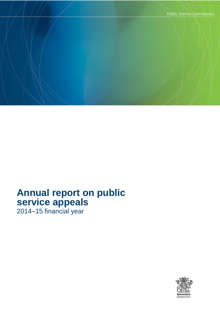

# **Annual report on public service appeals**

2014–15 financial year

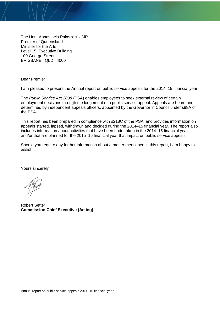The Hon. Annastacia Palaszczuk MP Premier of Queensland Minister for the Arts Level 15, Executive Building 100 George Street BRISBANE QLD 4000

Dear Premier

I am pleased to present the Annual report on public service appeals for the 2014–15 financial year.

The *Public Service Act 2008* (PSA) enables employees to seek external review of certain employment decisions through the lodgement of a public service appeal. Appeals are heard and determined by independent appeals officers, appointed by the Governor in Council under s88A of the PSA.

This report has been prepared in compliance with s218C of the PSA, and provides information on appeals started, lapsed, withdrawn and decided during the 2014–15 financial year. The report also includes information about activities that have been undertaken in the 2014–15 financial year and/or that are planned for the 2015–16 financial year that impact on public service appeals.

Should you require any further information about a matter mentioned in this report, I am happy to assist.

Yours sincerely

Robert Setter **Commission Chief Executive (Acting)**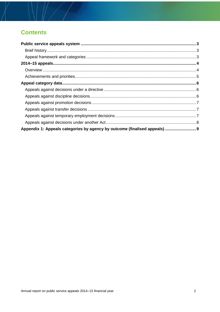## **Contents**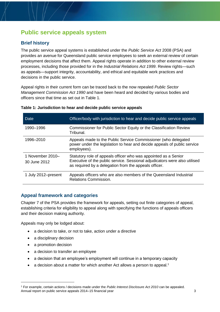## **Public service appeals system**

### **Brief history**

The public service appeal systems is established under the *Public Service Act* 2008 (PSA) and provides an avenue for Queensland public service employees to seek an external review of certain employment decisions that affect them. Appeal rights operate in addition to other external review processes, including those provided for in the *Industrial Relations Act 1999*. Review rights—such as appeals—support integrity, accountability, and ethical and equitable work practices and decisions in the public service.

Appeal rights in their current form can be traced back to the now repealed *Public Sector Management Commission Act 1990* and have been heard and decided by various bodies and officers since that time as set out in Table 1.

| Date                             | Officer/body with jurisdiction to hear and decide public service appeals                                                                                                                               |
|----------------------------------|--------------------------------------------------------------------------------------------------------------------------------------------------------------------------------------------------------|
| 1990–1996                        | Commissioner for Public Sector Equity or the Classification Review<br>Tribunal.                                                                                                                        |
| 1996-2010                        | Appeals made to the Public Service Commissioner (who delegated<br>power under the legislation to hear and decide appeals of public service<br>employees).                                              |
| 1 November 2010-<br>30 June 2012 | Statutory role of appeals officer who was appointed as a Senior<br>Executive of the public service. Sessional adjudicators were also utilised<br>as required by a delegation from the appeals officer. |
| 1 July 2012–present              | Appeals officers who are also members of the Queensland Industrial<br><b>Relations Commission.</b>                                                                                                     |

#### **Table 1: Jurisdiction to hear and decide public service appeals**

#### **Appeal framework and categories**

Chapter 7 of the PSA provides the framework for appeals, setting out finite categories of appeal, establishing criteria for eligibility to appeal along with specifying the functions of appeals officers and their decision making authority.

Appeals may only be lodged about:

- a decision to take, or not to take, action under a directive
- a disciplinary decision
- a promotion decision

 $\overline{a}$ 

- a decision to transfer an employee
- a decision that an employee's employment will continue in a temporary capacity
- a decision about a matter for which another Act allows a person to appeal.<sup>1</sup>

Annual report on public service appeals 2014–15 financial year 3 <sup>1</sup> For example, certain actions / decisions made under the *Public Interest Disclosure Act 2010* can be appealed.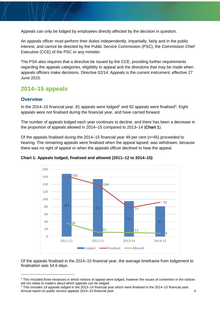Appeals can only be lodged by employees directly affected by the decision in question.

An appeals officer must perform their duties independently, impartially, fairly and in the public interest, and cannot be directed by the Public Service Commission (PSC), the Commission Chief Executive (CCE) of the PSC or any minister.

The PSA also requires that a directive be issued by the CCE, providing further requirements regarding the appeals categories, eligibility to appeal and the directions that may be made when appeals officers make decisions. Directive 02/14: Appeals is the current instrument, effective 27 June 2015.

### **2014–15 appeals**

#### **Overview**

In the 2014–15 financial year, 81 appeals were lodged<sup>2</sup> and 92 appeals were finalised<sup>3</sup>. Eight appeals were not finalised during the financial year, and have carried forward.

The number of appeals lodged each year continues to decline, and there has been a decrease in the proportion of appeals allowed in 2014–15 compared to 2013–14 (**Chart 1**).

Of the appeals finalised during the 2014–15 financial year 49 per cent (n=45) proceeded to hearing. The remaining appeals were finalised when the appeal lapsed, was withdrawn, because there was no right of appeal or when the appeals officer declined to hear the appeal.



#### **Chart 1: Appeals lodged, finalised and allowed (2011–12 to 2014–15)**

Of the appeals finalised in the 2014–15 financial year, the average timeframe from lodgement to finalisation was 54.6 days.

<sup>&</sup>lt;sup>2</sup> This included three instances in which notices of appeal were lodged, however the issues of contention in the notices did not relate to matters about which appeals can be lodged.

Annual report on public service appeals 2014–15 financial year 4 <sup>3</sup> This includes 19 appeals lodged in the 2013–14 financial year which were finalised in the 2014–15 financial year.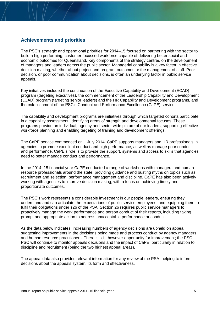#### **Achievements and priorities**

The PSC's strategic and operational priorities for 2014–15 focused on partnering with the sector to build a high performing, customer focussed workforce capable of delivering better social and economic outcomes for Queensland. Key components of the strategy centred on the development of managers and leaders across the public sector. Managerial capability is a key factor in effective decision making, whether about project and program outcomes or the management of staff. Poor decision, or poor communication about decisions, is often an underlying factor in public service appeals.

Key initiatives included the continuation of the Executive Capability and Development (ECAD) program (targeting executives), the commencement of the Leadership Capability and Development (LCAD) program (targeting senior leaders) and the HR Capability and Development programs, and the establishment of the PSC's Conduct and Performance Excellence (CaPE) service.

The capability and development programs are initiatives through which targeted cohorts participate in a capability assessment, identifying areas of strength and developmental focuses. These programs provide an individual, agency and sector wide picture of our leaders, supporting effective workforce planning and enabling targeting of training and development offerings.

The CaPE service commenced on 1 July 2014. CaPE supports managers and HR professionals in agencies to promote excellent conduct and high performance, as well as manage poor conduct and performance. CaPE's role is to provide the support, systems and access to skills that agencies need to better manage conduct and performance.

In the 2014–15 financial year CaPE conducted a range of workshops with managers and human resource professionals around the state, providing guidance and busting myths on topics such as recruitment and selection, performance management and discipline. CaPE has also been actively working with agencies to improve decision making, with a focus on achieving timely and proportionate outcomes.

The PSC's work represents a considerable investment in our people leaders, ensuring they understand and can articulate the expectations of public service employees, and equipping them to fulfil their obligations under s26 of the PSA. Section 26 requires public service managers to proactively manage the work performance and person conduct of their reports, including taking prompt and appropriate action to address unacceptable performance or conduct.

As the data below indicates, increasing numbers of agency decisions are upheld on appeal, suggesting improvements in the decisions being made and process conduct by agency managers and human resource practitioners. There is still, however opportunity for improvement; the PSC PSC will continue to monitor appeals decisions and the impact of CaPE, particularly in relation to discipline and recruitment (being the two highest appeal areas).

The appeal data also provides relevant information for any review of the PSA, helping to inform decisions about the appeals system, its form and effectiveness.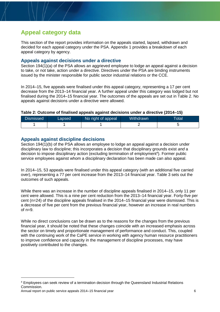## **Appeal category data**

This section of the report provides information on the appeals started, lapsed, withdrawn and decided for each appeal category under the PSA. Appendix 1 provides a breakdown of each appeal category by agency.

#### **Appeals against decisions under a directive**

Section 194(1)(a) of the PSA allows an aggrieved employee to lodge an appeal against a decision to take, or not take, action under a directive. Directives under the PSA are binding instruments issued by the minister responsible for public sector industrial relations or the CCE.

In 2014–15, five appeals were finalised under this appeal category, representing a 17 per cent decrease from the 2013–14 financial year. A further appeal under this category was lodged but not finalised during the 2014–15 financial year. The outcomes of the appeals are set out in Table 2. No appeals against decisions under a directive were allowed.

#### **Table 2: Outcome of finalised appeals against decisions under a directive (2014–15)**

| Dismissed | Lapsed | No right of appeal | Withdrawn | Гоtal |
|-----------|--------|--------------------|-----------|-------|
|           |        |                    |           |       |

#### **Appeals against discipline decisions**

Section 194(1)(b) of the PSA allows an employee to lodge an appeal against a decision under disciplinary law to discipline; this incorporates a decision that disciplinary grounds exist *and* a decision to impose disciplinary action (excluding termination of employment<sup>4</sup>). Former public service employees against whom a disciplinary declaration has been made can also appeal.

In 2014–15, 53 appeals were finalised under this appeal category (with an additional five carried over), representing a 77 per cent increase from the 2013–14 financial year. Table 3 sets out the outcomes of such appeals.

While there was an increase in the number of discipline appeals finalised in 2014–15, only 11 per cent were allowed. This is a nine per cent reduction from the 2013–14 financial year. Forty-five per cent (n=24) of the discipline appeals finalised in the 2014–15 financial year were dismissed. This is a decrease of five per cent from the previous financial year, however an increase in real numbers of  $n=9$ .

While no direct conclusions can be drawn as to the reasons for the changes from the previous financial year, it should be noted that these changes coincide with an increased emphasis across the sector on timely and proportionate management of performance and conduct. This, coupled with the continuing work of the CaPE service in working with agency human resource practitioners to improve confidence and capacity in the management of discipline processes, may have positively contributed to the changes.

 $\overline{a}$ 

<sup>4</sup> Employees can seek review of a termination decision through the Queensland Industrial Relations Commission.

Annual report on public service appeals 2014–15 financial year 6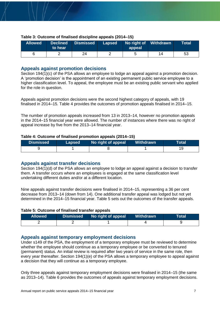| <b>Allowed</b> | to hear | Declined Dismissed Lapsed No right of Withdrawn | appeal | Total |
|----------------|---------|-------------------------------------------------|--------|-------|
|                |         | 24                                              |        | 53    |

#### **Table 3: Outcome of finalised discipline appeals (2014–15)**

#### **Appeals against promotion decisions**

Section 194(1)(c) of the PSA allows an employee to lodge an appeal against a promotion decision. A 'promotion decision' is the appointment of an existing permanent public service employee to a higher classification level. To appeal, the employee must be an existing public servant who applied for the role in question.

Appeals against promotion decisions were the second highest category of appeals, with 19 finalised in 2014–15. Table 4 provides the outcomes of promotion appeals finalised in 2014–15.

The number of promotion appeals increased from 13 in 2013–14, however no promotion appeals in the 2014–15 financial year were allowed. The number of instances where there was no right of appeal increase by five from the 2013–14 financial year.

#### **Table 4: Outcome of finalised promotion appeals (2014–15)**

| <b>Dismissed</b> | Lapsed | No right of appeal | Withdrawn | Total |
|------------------|--------|--------------------|-----------|-------|
|                  |        |                    |           |       |

#### **Appeals against transfer decisions**

Section 194(1)(d) of the PSA allows an employee to lodge an appeal against a decision to transfer them. A transfer occurs where an employees is engaged at the same classification level undertaking different duties and/or at a different location.

Nine appeals against transfer decisions were finalised in 2014–15, representing a 36 per cent decrease from 2013–14 (down from 14). One additional transfer appeal was lodged but not yet determined in the 2014–15 financial year. Table 5 sets out the outcomes of the transfer appeals.

#### **Table 5: Outcome of finalised transfer appeals**

| <b>Allowed</b> | Dismissed No right of appeal | Withdrawn | Total |
|----------------|------------------------------|-----------|-------|
|                |                              |           |       |

#### **Appeals against temporary employment decisions**

Under s149 of the PSA, the employment of a temporary employee must be reviewed to determine whether the employee should continue as a temporary employee or be converted to tenured (permanent) status. An initial review is required after two years of service in the same role, then every year thereafter. Section 194(1)(e) of the PSA allows a temporary employee to appeal against a decision that they will continue as a temporary employee.

Only three appeals against temporary employment decisions were finalised in 2014–15 (the same as 2013–14). Table 6 provides the outcomes of appeals against temporary employment decisions.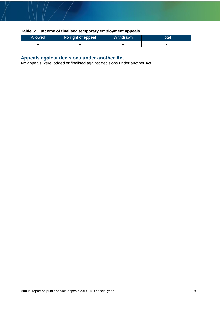#### **Table 6: Outcome of finalised temporary employment appeals**

| Allowed | No right of appeal | <b>Withdrawn</b> | Totall |
|---------|--------------------|------------------|--------|
|         |                    |                  |        |

#### **Appeals against decisions under another Act**

No appeals were lodged or finalised against decisions under another Act.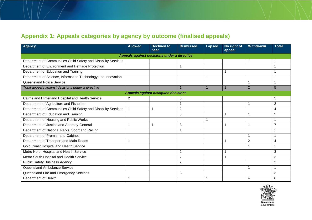## **Appendix 1: Appeals categories by agency by outcome (finalised appeals)**

| <b>Agency</b>                                                  | <b>Allowed</b> | <b>Declined to</b><br>hear                  | <b>Dismissed</b> | <b>Lapsed</b> | No right of<br>appeal | <b>Withdrawn</b> | <b>Total</b>             |  |  |
|----------------------------------------------------------------|----------------|---------------------------------------------|------------------|---------------|-----------------------|------------------|--------------------------|--|--|
| Appeals against decisions under a directive                    |                |                                             |                  |               |                       |                  |                          |  |  |
| Department of Communities Child Safety and Disability Services |                |                                             |                  |               |                       |                  |                          |  |  |
| Department of Environment and Heritage Protection              |                |                                             | 1                |               |                       |                  |                          |  |  |
| Department of Education and Training                           |                |                                             |                  |               |                       |                  |                          |  |  |
| Department of Science, Information Technology and Innovation   |                |                                             |                  |               |                       |                  |                          |  |  |
| Queensland Police Service                                      |                |                                             |                  |               |                       |                  | 1                        |  |  |
| Total appeals against decisions under a directive              |                |                                             | $\overline{1}$   | 1             | $\mathbf{1}$          | $\overline{2}$   | 5                        |  |  |
|                                                                |                | <b>Appeals against discipline decisions</b> |                  |               |                       |                  |                          |  |  |
| Cairns and Hinterland Hospital and Health Service              | 2              |                                             | 3                |               |                       |                  | 5                        |  |  |
| Department of Agriculture and Fisheries                        |                |                                             | 1                |               |                       |                  | $\overline{2}$           |  |  |
| Department of Communities Child Safety and Disability Services |                | -1                                          | $\overline{c}$   |               |                       |                  | 4                        |  |  |
| Department of Education and Training                           |                |                                             | 3                |               |                       |                  | 5                        |  |  |
| Department of Housing and Public Works                         |                |                                             |                  |               |                       |                  |                          |  |  |
| Department of Justice and Attorney-General                     |                |                                             | 3                |               |                       |                  | $\overline{7}$           |  |  |
| Department of National Parks, Sport and Racing                 |                |                                             | 1                |               |                       |                  | $\overline{\phantom{a}}$ |  |  |
| Department of Premier and Cabinet                              |                |                                             |                  |               |                       |                  | 1                        |  |  |
| Department of Transport and Main Roads                         |                |                                             |                  |               |                       | $\overline{2}$   | $\overline{4}$           |  |  |
| Gold Coast Hospital and Health Service                         |                |                                             |                  |               |                       |                  | 1                        |  |  |
| Metro North Hospital and Health Service                        |                |                                             | $\overline{c}$   |               |                       |                  | 3                        |  |  |
| Metro South Hospital and Health Service                        |                |                                             | $\overline{2}$   |               |                       |                  | 3                        |  |  |
| <b>Public Safety Business Agency</b>                           |                |                                             | $\overline{2}$   |               |                       |                  | $\overline{2}$           |  |  |
| Queensland Ambulance Service                                   |                |                                             |                  |               |                       |                  | 1                        |  |  |
| Queensland Fire and Emergency Services                         |                |                                             | 3                |               |                       |                  | 3                        |  |  |
| Department of Health                                           |                |                                             |                  |               |                       | 4                | 6                        |  |  |